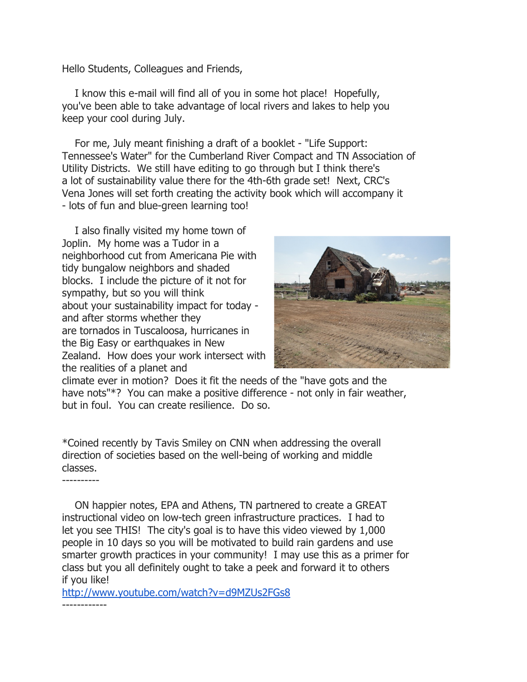Hello Students, Colleagues and Friends,

 I know this e-mail will find all of you in some hot place! Hopefully, you've been able to take advantage of local rivers and lakes to help you keep your cool during July.

 For me, July meant finishing a draft of a booklet - "Life Support: Tennessee's Water" for the Cumberland River Compact and TN Association of Utility Districts. We still have editing to go through but I think there's a lot of sustainability value there for the 4th-6th grade set! Next, CRC's Vena Jones will set forth creating the activity book which will accompany it - lots of fun and blue-green learning too!

 I also finally visited my home town of Joplin. My home was a Tudor in a neighborhood cut from Americana Pie with tidy bungalow neighbors and shaded blocks. I include the picture of it not for sympathy, but so you will think about your sustainability impact for today and after storms whether they are tornados in Tuscaloosa, hurricanes in the Big Easy or earthquakes in New Zealand. How does your work intersect with the realities of a planet and



climate ever in motion? Does it fit the needs of the "have gots and the have nots"\*? You can make a positive difference - not only in fair weather, but in foul. You can create resilience. Do so.

\*Coined recently by Tavis Smiley on CNN when addressing the overall direction of societies based on the well-being of working and middle classes.

----------

 ON happier notes, EPA and Athens, TN partnered to create a GREAT instructional video on low-tech green infrastructure practices. I had to let you see THIS! The city's goal is to have this video viewed by 1,000 people in 10 days so you will be motivated to build rain gardens and use smarter growth practices in your community! I may use this as a primer for class but you all definitely ought to take a peek and forward it to others if you like!

http://www.youtube.com/watch?v=d9MZUs2FGs8 ------------